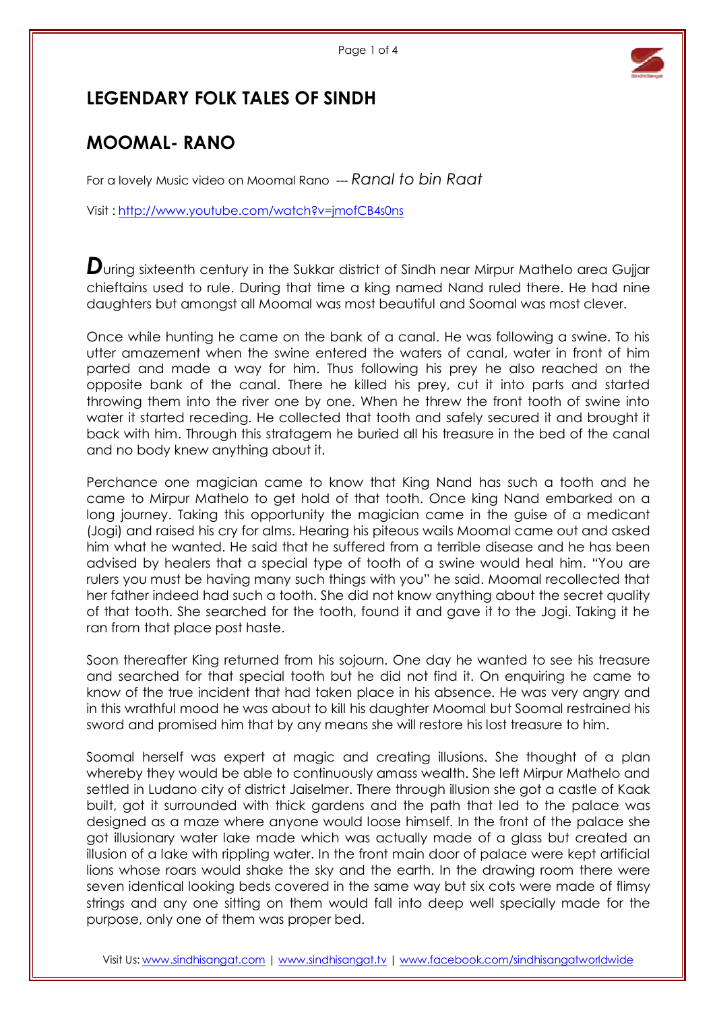

## LEGENDARY FOLK TALES OF SINDH

## MOOMAL- RANO

For a lovely Music video on Moomal Rano --- Ranal to bin Raat

Visit : http://www.youtube.com/watch?v=jmofCB4s0ns

 $\bm{D}$ uring sixteenth century in the Sukkar district of Sindh near Mirpur Mathelo area Gujjar chieftains used to rule. During that time a king named Nand ruled there. He had nine daughters but amongst all Moomal was most beautiful and Soomal was most clever.

Once while hunting he came on the bank of a canal. He was following a swine. To his utter amazement when the swine entered the waters of canal, water in front of him parted and made a way for him. Thus following his prey he also reached on the opposite bank of the canal. There he killed his prey, cut it into parts and started throwing them into the river one by one. When he threw the front tooth of swine into water it started receding. He collected that tooth and safely secured it and brought it back with him. Through this stratagem he buried all his treasure in the bed of the canal and no body knew anything about it.

Perchance one magician came to know that King Nand has such a tooth and he came to Mirpur Mathelo to get hold of that tooth. Once king Nand embarked on a long journey. Taking this opportunity the magician came in the guise of a medicant (Jogi) and raised his cry for alms. Hearing his piteous wails Moomal came out and asked him what he wanted. He said that he suffered from a terrible disease and he has been advised by healers that a special type of tooth of a swine would heal him. "You are rulers you must be having many such things with you" he said. Moomal recollected that her father indeed had such a tooth. She did not know anything about the secret quality of that tooth. She searched for the tooth, found it and gave it to the Jogi. Taking it he ran from that place post haste.

Soon thereafter King returned from his sojourn. One day he wanted to see his treasure and searched for that special tooth but he did not find it. On enquiring he came to know of the true incident that had taken place in his absence. He was very angry and in this wrathful mood he was about to kill his daughter Moomal but Soomal restrained his sword and promised him that by any means she will restore his lost treasure to him.

Soomal herself was expert at magic and creating illusions. She thought of a plan whereby they would be able to continuously amass wealth. She left Mirpur Mathelo and settled in Ludano city of district Jaiselmer. There through illusion she got a castle of Kaak built, got it surrounded with thick gardens and the path that led to the palace was designed as a maze where anyone would loose himself. In the front of the palace she got illusionary water lake made which was actually made of a glass but created an illusion of a lake with rippling water. In the front main door of palace were kept artificial lions whose roars would shake the sky and the earth. In the drawing room there were seven identical looking beds covered in the same way but six cots were made of flimsy strings and any one sitting on them would fall into deep well specially made for the purpose, only one of them was proper bed.

Visit Us: www.sindhisangat.com | www.sindhisangat.tv | www.facebook.com/sindhisangatworldwide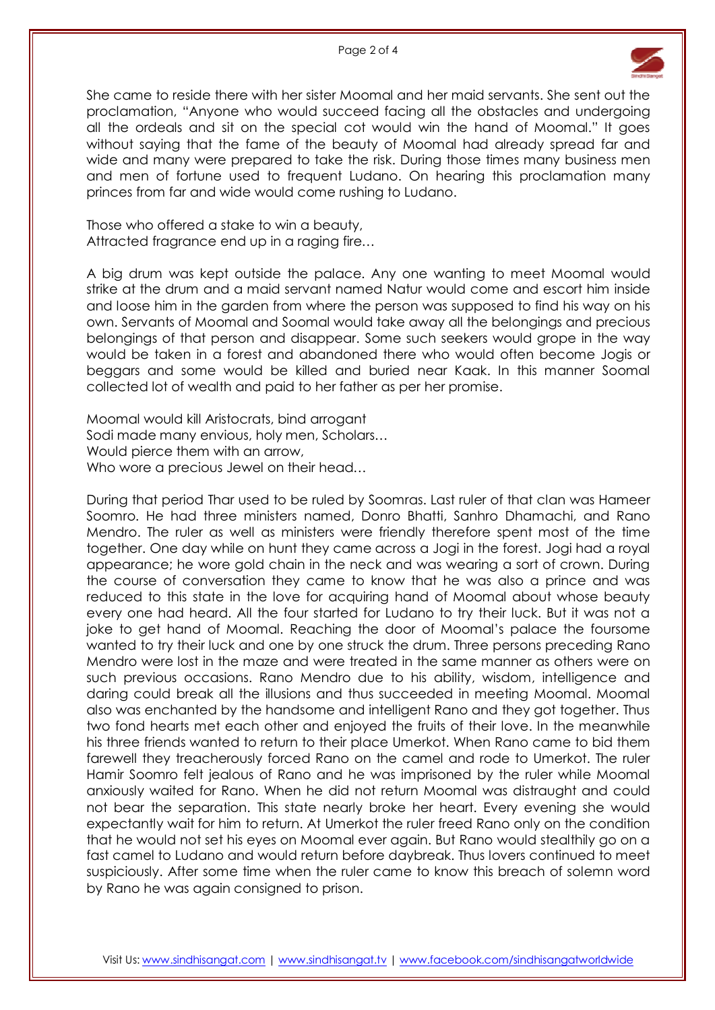

She came to reside there with her sister Moomal and her maid servants. She sent out the proclamation, "Anyone who would succeed facing all the obstacles and undergoing all the ordeals and sit on the special cot would win the hand of Moomal." It goes without saying that the fame of the beauty of Moomal had already spread far and wide and many were prepared to take the risk. During those times many business men and men of fortune used to frequent Ludano. On hearing this proclamation many princes from far and wide would come rushing to Ludano.

Those who offered a stake to win a beauty, Attracted fragrance end up in a raging fire…

A big drum was kept outside the palace. Any one wanting to meet Moomal would strike at the drum and a maid servant named Natur would come and escort him inside and loose him in the garden from where the person was supposed to find his way on his own. Servants of Moomal and Soomal would take away all the belongings and precious belongings of that person and disappear. Some such seekers would grope in the way would be taken in a forest and abandoned there who would often become Jogis or beggars and some would be killed and buried near Kaak. In this manner Soomal collected lot of wealth and paid to her father as per her promise.

Moomal would kill Aristocrats, bind arrogant Sodi made many envious, holy men, Scholars… Would pierce them with an arrow, Who wore a precious Jewel on their head…

During that period Thar used to be ruled by Soomras. Last ruler of that clan was Hameer Soomro. He had three ministers named, Donro Bhatti, Sanhro Dhamachi, and Rano Mendro. The ruler as well as ministers were friendly therefore spent most of the time together. One day while on hunt they came across a Jogi in the forest. Jogi had a royal appearance; he wore gold chain in the neck and was wearing a sort of crown. During the course of conversation they came to know that he was also a prince and was reduced to this state in the love for acquiring hand of Moomal about whose beauty every one had heard. All the four started for Ludano to try their luck. But it was not a joke to get hand of Moomal. Reaching the door of Moomal's palace the foursome wanted to try their luck and one by one struck the drum. Three persons preceding Rano Mendro were lost in the maze and were treated in the same manner as others were on such previous occasions. Rano Mendro due to his ability, wisdom, intelligence and daring could break all the illusions and thus succeeded in meeting Moomal. Moomal also was enchanted by the handsome and intelligent Rano and they got together. Thus two fond hearts met each other and enjoyed the fruits of their love. In the meanwhile his three friends wanted to return to their place Umerkot. When Rano came to bid them farewell they treacherously forced Rano on the camel and rode to Umerkot. The ruler Hamir Soomro felt jealous of Rano and he was imprisoned by the ruler while Moomal anxiously waited for Rano. When he did not return Moomal was distraught and could not bear the separation. This state nearly broke her heart. Every evening she would expectantly wait for him to return. At Umerkot the ruler freed Rano only on the condition that he would not set his eyes on Moomal ever again. But Rano would stealthily go on a fast camel to Ludano and would return before daybreak. Thus lovers continued to meet suspiciously. After some time when the ruler came to know this breach of solemn word by Rano he was again consigned to prison.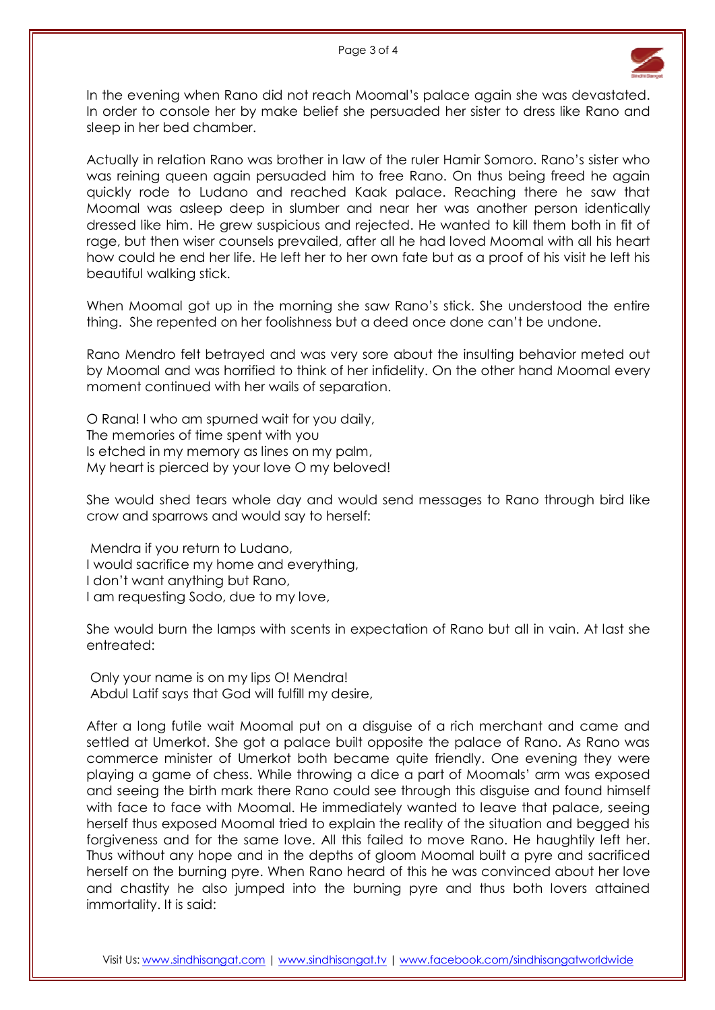

In the evening when Rano did not reach Moomal's palace again she was devastated. In order to console her by make belief she persuaded her sister to dress like Rano and sleep in her bed chamber.

Actually in relation Rano was brother in law of the ruler Hamir Somoro. Rano's sister who was reining queen again persuaded him to free Rano. On thus being freed he again quickly rode to Ludano and reached Kaak palace. Reaching there he saw that Moomal was asleep deep in slumber and near her was another person identically dressed like him. He grew suspicious and rejected. He wanted to kill them both in fit of rage, but then wiser counsels prevailed, after all he had loved Moomal with all his heart how could he end her life. He left her to her own fate but as a proof of his visit he left his beautiful walking stick.

When Moomal got up in the morning she saw Rano's stick. She understood the entire thing. She repented on her foolishness but a deed once done can't be undone.

Rano Mendro felt betrayed and was very sore about the insulting behavior meted out by Moomal and was horrified to think of her infidelity. On the other hand Moomal every moment continued with her wails of separation.

O Rana! I who am spurned wait for you daily, The memories of time spent with you Is etched in my memory as lines on my palm, My heart is pierced by your love O my beloved!

She would shed tears whole day and would send messages to Rano through bird like crow and sparrows and would say to herself:

 Mendra if you return to Ludano, I would sacrifice my home and everything, I don't want anything but Rano, I am requesting Sodo, due to my love,

She would burn the lamps with scents in expectation of Rano but all in vain. At last she entreated:

 Only your name is on my lips O! Mendra! Abdul Latif says that God will fulfill my desire,

After a long futile wait Moomal put on a disguise of a rich merchant and came and settled at Umerkot. She got a palace built opposite the palace of Rano. As Rano was commerce minister of Umerkot both became quite friendly. One evening they were playing a game of chess. While throwing a dice a part of Moomals' arm was exposed and seeing the birth mark there Rano could see through this disguise and found himself with face to face with Moomal. He immediately wanted to leave that palace, seeing herself thus exposed Moomal tried to explain the reality of the situation and begged his forgiveness and for the same love. All this failed to move Rano. He haughtily left her. Thus without any hope and in the depths of gloom Moomal built a pyre and sacrificed herself on the burning pyre. When Rano heard of this he was convinced about her love and chastity he also jumped into the burning pyre and thus both lovers attained immortality. It is said: